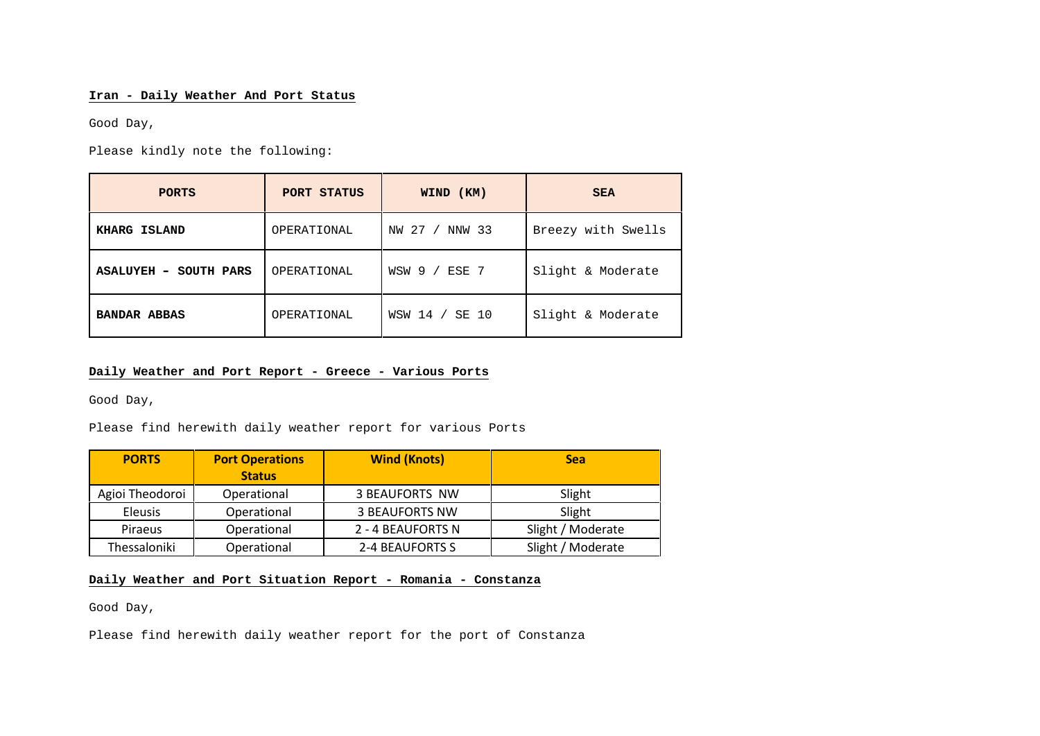## **Iran - Daily Weather And Port Status**

Good Day,

Please kindly note the following:

| <b>PORTS</b>                    | PORT STATUS | WIND (KM)         | <b>SEA</b>         |
|---------------------------------|-------------|-------------------|--------------------|
| KHARG ISLAND                    | OPERATIONAL | NW 27 /<br>NNW 33 | Breezy with Swells |
| <b>ASALUYEH</b><br>- SOUTH PARS | OPERATIONAL | WSW 9 /<br>ESE 7  | Slight & Moderate  |
| <b>BANDAR ABBAS</b>             | OPERATIONAL | WSW 14 / SE 10    | Slight & Moderate  |

## **Daily Weather and Port Report - Greece - Various Ports**

Good Day,

Please find herewith daily weather report for various Ports

| <b>PORTS</b>    | <b>Port Operations</b><br><b>Status</b> | <b>Wind (Knots)</b>   | <b>Sea</b>        |
|-----------------|-----------------------------------------|-----------------------|-------------------|
| Agioi Theodoroi | Operational                             | <b>3 BEAUFORTS NW</b> | Slight            |
| Eleusis         | Operational                             | <b>3 BEAUFORTS NW</b> | Slight            |
| <b>Piraeus</b>  | Operational                             | 2 - 4 BEAUFORTS N     | Slight / Moderate |
| Thessaloniki    | Operational                             | 2-4 BEAUFORTS S       | Slight / Moderate |

# **Daily Weather and Port Situation Report - Romania - Constanza**

Good Day,

Please find herewith daily weather report for the port of Constanza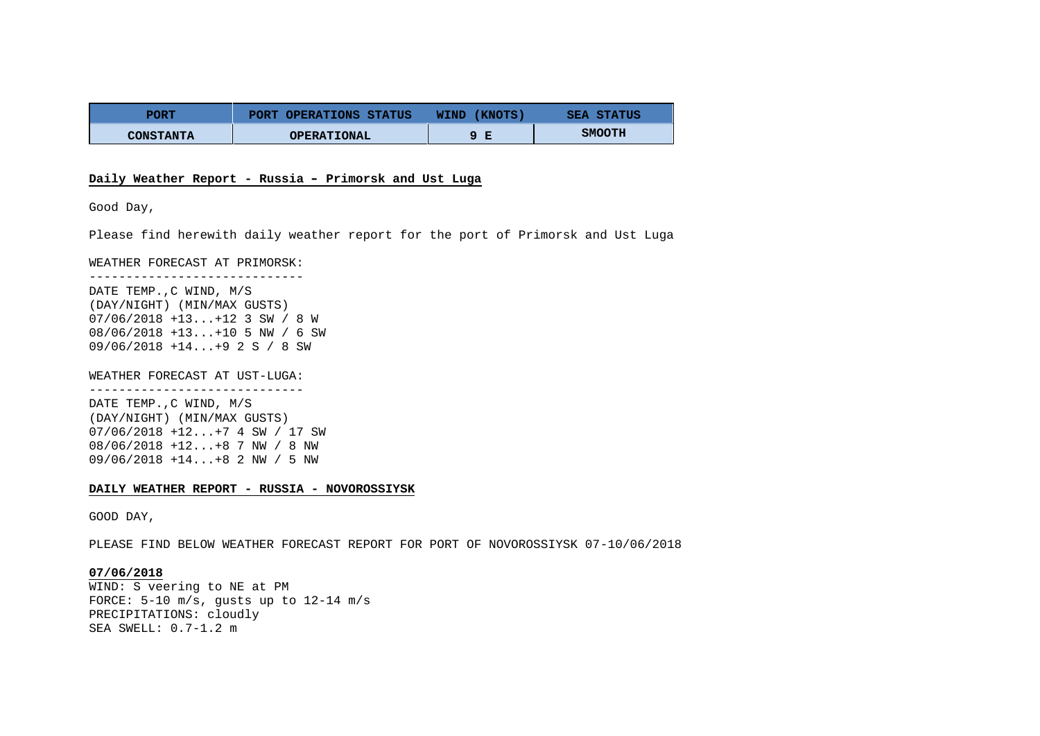| PORT             | PORT OPERATIONS STATUS | (KNOTS)<br>WIND | <b>SEA STATUS</b> |
|------------------|------------------------|-----------------|-------------------|
| <b>CONSTANTA</b> | <b>OPERATIONAL</b>     | Е               | <b>SMOOTH</b>     |

### **Daily Weather Report - Russia – Primorsk and Ust Luga**

Good Day,

Please find herewith daily weather report for the port of Primorsk and Ust Luga

WEATHER FORECAST AT PRIMORSK:

----------------------------- DATE TEMP. C WIND, M/S (DAY/NIGHT) (MIN/MAX GUSTS) 07/06/2018 +13...+12 3 SW / 8 W 08/06/2018 +13...+10 5 NW / 6 SW 09/06/2018 +14...+9 2 S / 8 SW

WEATHER FORECAST AT UST-LUGA: -----------------------------

DATE TEMP.,C WIND, M/S (DAY/NIGHT) (MIN/MAX GUSTS) 07/06/2018 +12...+7 4 SW / 17 SW 08/06/2018 +12...+8 7 NW / 8 NW 09/06/2018 +14...+8 2 NW / 5 NW

### **DAILY WEATHER REPORT - RUSSIA - NOVOROSSIYSK**

GOOD DAY,

PLEASE FIND BELOW WEATHER FORECAST REPORT FOR PORT OF NOVOROSSIYSK 07-10/06/2018

**07/06/2018** WIND: S veering to NE at PM FORCE: 5-10 m/s, gusts up to 12-14 m/s PRECIPITATIONS: cloudly SEA SWELL: 0.7-1.2 m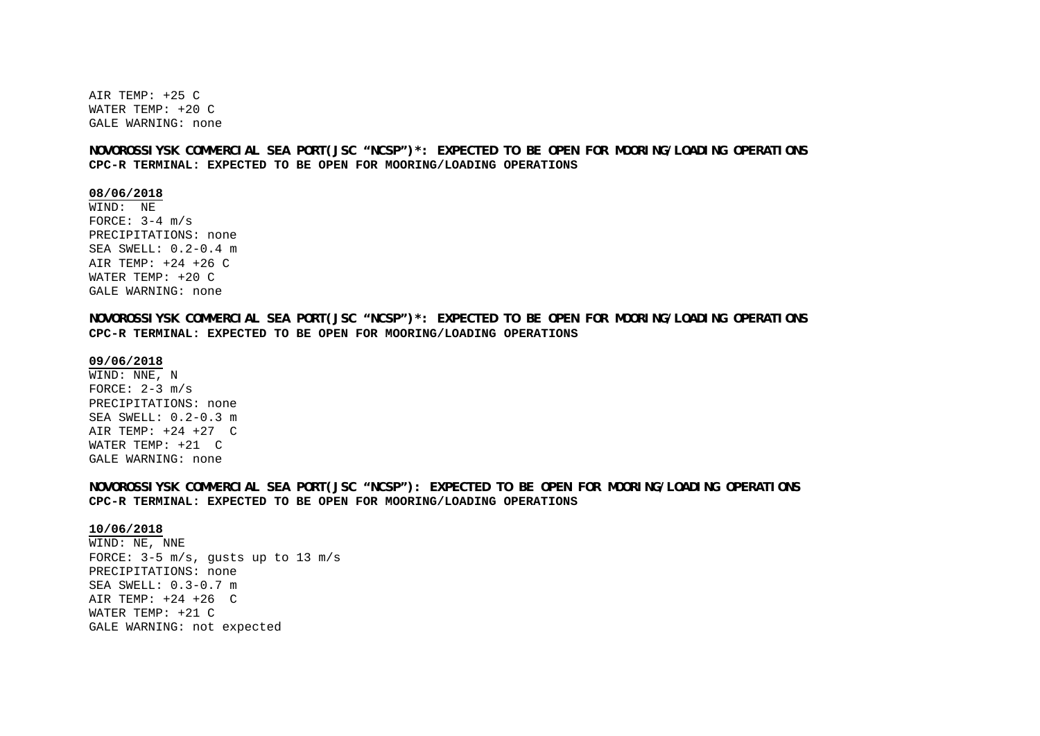AIR TEMP: +25 C WATER TEMP: +20 C GALE WARNING: none

**NOVOROSSIYSK COMMERCIAL SEA PORT(JSC "NCSP")\*: EXPECTED TO BE OPEN FOR MOORING/LOADING OPERATIONS CPC-R TERMINAL: EXPECTED TO BE OPEN FOR MOORING/LOADING OPERATIONS**

**08/06/2018**

WIND: NE FORCE:  $3-4$  m/s PRECIPITATIONS: none SEA SWELL: 0.2-0.4 m AIR TEMP: +24 +26 C WATER TEMP: +20 C GALE WARNING: none

**NOVOROSSIYSK COMMERCIAL SEA PORT(JSC "NCSP")\*: EXPECTED TO BE OPEN FOR MOORING/LOADING OPERATIONS CPC-R TERMINAL: EXPECTED TO BE OPEN FOR MOORING/LOADING OPERATIONS**

### **09/06/2018**

WIND: NNE, N FORCE:  $2-3$  m/s PRECIPITATIONS: none SEA SWELL: 0.2-0.3 m AIR TEMP: +24 +27 C WATER TEMP: +21 C GALE WARNING: none

**NOVOROSSIYSK COMMERCIAL SEA PORT(JSC "NCSP"): EXPECTED TO BE OPEN FOR MOORING/LOADING OPERATIONS CPC-R TERMINAL: EXPECTED TO BE OPEN FOR MOORING/LOADING OPERATIONS**

#### **10/06/2018**

WIND: NE, NNE FORCE: 3-5 m/s, gusts up to 13 m/s PRECIPITATIONS: none SEA SWELL: 0.3-0.7 m AIR TEMP: +24 +26 C WATER TEMP: +21 C GALE WARNING: not expected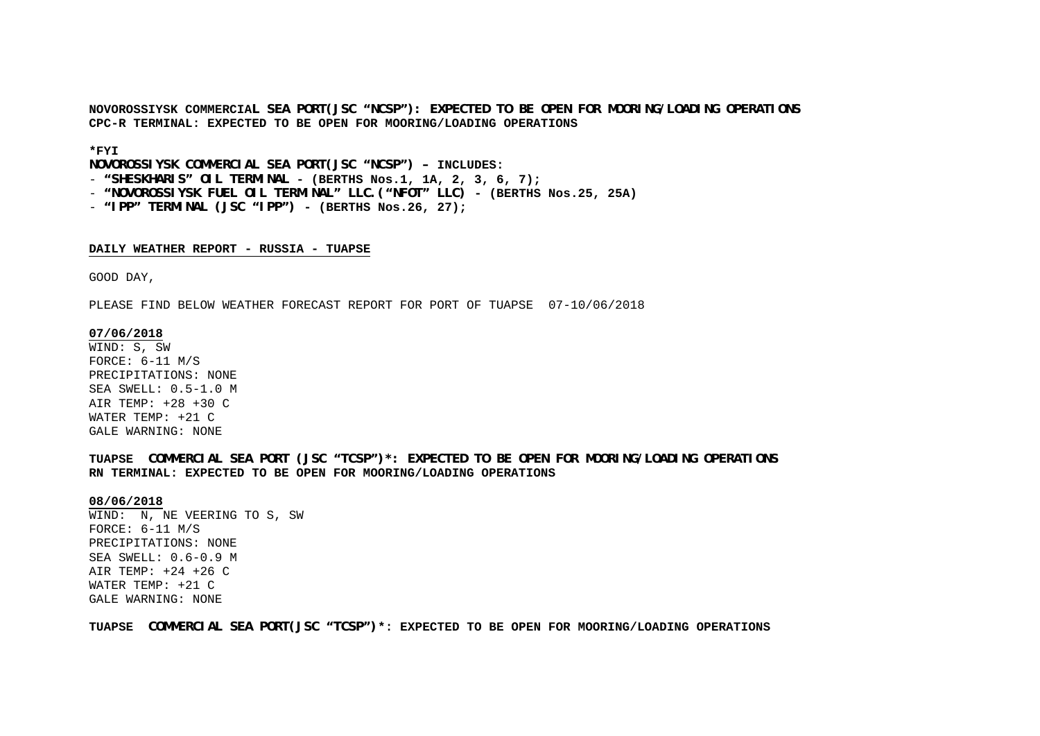**NOVOROSSIYSK COMMERCIAL SEA PORT(JSC "NCSP"): EXPECTED TO BE OPEN FOR MOORING/LOADING OPERATIONS CPC-R TERMINAL: EXPECTED TO BE OPEN FOR MOORING/LOADING OPERATIONS**

### **\*FYI**

**NOVOROSSIYSK COMMERCIAL SEA PORT(JSC "NCSP") – INCLUDES:**

- **"SHESKHARIS" OIL TERMINAL - (BERTHS Nos.1, 1A, 2, 3, 6, 7);**

- **"NOVOROSSIYSK FUEL OIL TERMINAL" LLC.("NFOT" LLC) - (BERTHS Nos.25, 25A)**
- **"IPP" TERMINAL (JSC "IPP") - (BERTHS Nos.26, 27);**

### **DAILY WEATHER REPORT - RUSSIA - TUAPSE**

GOOD DAY,

PLEASE FIND BELOW WEATHER FORECAST REPORT FOR PORT OF TUAPSE 07-10/06/2018

### **07/06/2018**

WIND: S, SW FORCE: 6-11 M/S PRECIPITATIONS: NONE SEA SWELL: 0.5-1.0 M AIR TEMP: +28 +30 C WATER TEMP: +21 C GALE WARNING: NONE

**TUAPSE COMMERCIAL SEA PORT (JSC "TCSP")\*: EXPECTED TO BE OPEN FOR MOORING/LOADING OPERATIONS RN TERMINAL: EXPECTED TO BE OPEN FOR MOORING/LOADING OPERATIONS**

#### **08/06/2018**

WIND: N, NE VEERING TO S, SW FORCE: 6-11 M/S PRECIPITATIONS: NONE SEA SWELL: 0.6-0.9 M AIR TEMP: +24 +26 C WATER TEMP: +21 C GALE WARNING: NONE

**TUAPSE COMMERCIAL SEA PORT(JSC "TCSP")\*: EXPECTED TO BE OPEN FOR MOORING/LOADING OPERATIONS**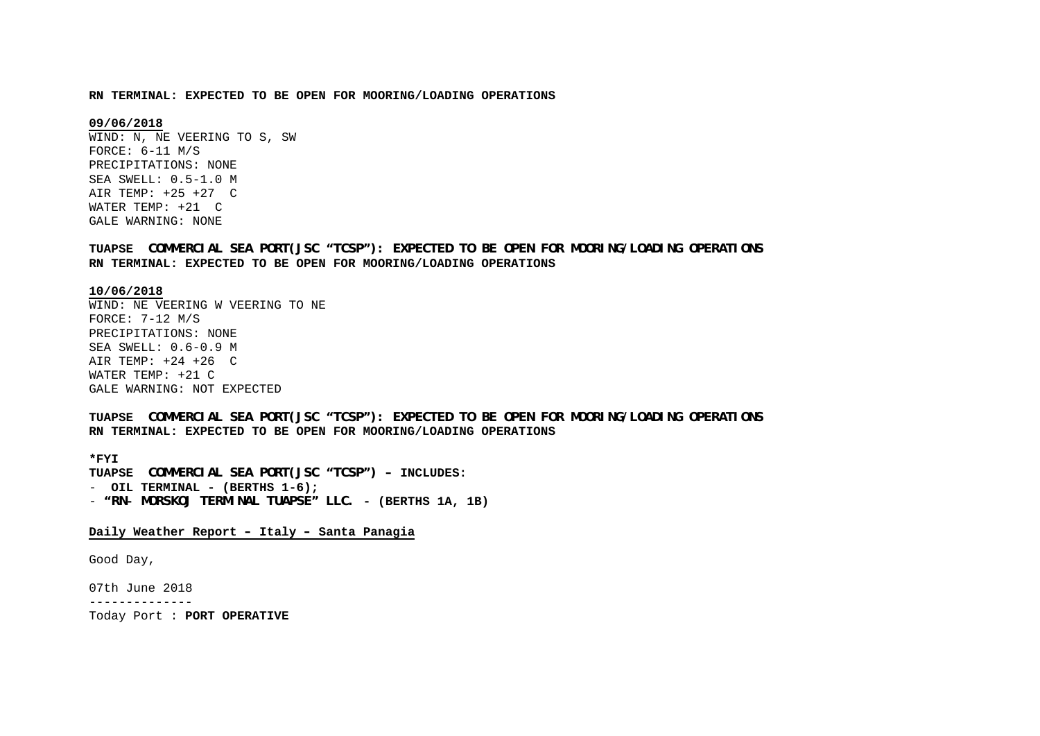#### **RN TERMINAL: EXPECTED TO BE OPEN FOR MOORING/LOADING OPERATIONS**

### **09/06/2018**

WIND: N, NE VEERING TO S, SW FORCE: 6-11 M/S PRECIPITATIONS: NONE SEA SWELL: 0.5-1.0 M AIR TEMP: +25 +27 C WATER TEMP: +21 C GALE WARNING: NONE

**TUAPSE COMMERCIAL SEA PORT(JSC "TCSP"): EXPECTED TO BE OPEN FOR MOORING/LOADING OPERATIONS RN TERMINAL: EXPECTED TO BE OPEN FOR MOORING/LOADING OPERATIONS**

### **10/06/2018**

WIND: NE VEERING W VEERING TO NE FORCE: 7-12 M/S PRECIPITATIONS: NONE SEA SWELL: 0.6-0.9 M AIR TEMP: +24 +26 C WATER TEMP: +21 C GALE WARNING: NOT EXPECTED

**TUAPSE COMMERCIAL SEA PORT(JSC "TCSP"): EXPECTED TO BE OPEN FOR MOORING/LOADING OPERATIONS RN TERMINAL: EXPECTED TO BE OPEN FOR MOORING/LOADING OPERATIONS**

**\*FYI TUAPSE COMMERCIAL SEA PORT(JSC "TCSP") – INCLUDES:** - **OIL TERMINAL - (BERTHS 1-6);** - **"RN- MORSKOJ TERMINAL TUAPSE" LLC. - (BERTHS 1A, 1B)**

## **Daily Weather Report – Italy – Santa Panagia**

Good Day,

07th June 2018

--------------

Today Port : **PORT OPERATIVE**